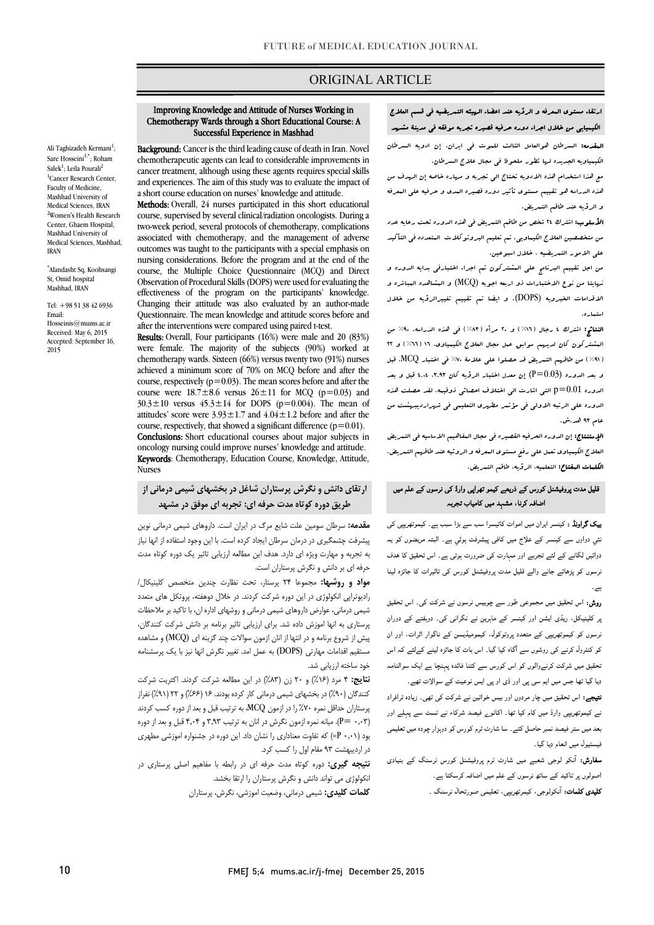## ORIGINAL ARTICLE

#### Chemotherapy Wards through a Short Educational Course: A Successful Experience in Mashhad Improving Knowledge and Attitude of Nurses Working in

Ī

Background: Cancer is the third leading cause of death in Iran. Novel chemotherapeutic agents can lead to considerable improvements in and experiences. The aim of this study was to evaluate the impact of a short course education on nurses' knowledge and attitude. cancer treatment, although using these agents requires special skills

 course, supervised by several clinical/radiation oncologists. During a two-week period, several protocols of chemotherapy, complications outcomes was taught to the participants with a special emphasis on nursing considerations. Before the program and at the end of the Observation of Procedural Skills (DOPS) were used for evaluating the effectiveness of the program on the participants' knowledge. Changing their attitude was also evaluated by an author-made after the interventions were compared using paired t-test. Methods: Overall, 24 nurses participated in this short educational associated with chemotherapy, and the management of adverse course, the Multiple Choice Questionnaire (MCQ) and Direct Questionnaire. The mean knowledge and attitude scores before and

 Results: Overall, Four participants (16%) were male and 20 (83%) chemotherapy wards. Sixteen (66%) versus twenty two (91%) nurses achieved a minimum score of 70% on MCQ before and after the course, respectively  $(p=0.05)$ . The firem scores before and after the course were  $18.7 \pm 8.6$  versus  $26 \pm 11$  for MCQ  $(p=0.03)$  and  $30.3 \pm 10$  versus  $45.3 \pm 14$  for DOPS (p=0.004). The mean of attitudes' score were  $3.93 \pm 1.7$  and  $4.04 \pm 1.2$  before and after the Conclusions: Short educational courses about major subjects in oncology nursing could improve nurses' knowledge and attitude. **Keywords**: Chemotherapy, Education Course, Knowledge, Attitude,<br>Nurses were female. The majority of the subjects (90%) worked at course, respectively ( $p=0.03$ ). The mean scores before and after the course, respectively, that showed a significant difference  $(p=0.01)$ . Nurses

# **ارتقاي دانش و نگرش پرستاران شاغل در بخشهاي شیمی درمانی از طریق دوره کوتاه مدت حرفه اي: تجربه اي موفق در مشهد**

 **مقدمه:** سرطان سومین علت شایع مرگ در ایران است. داروهاي شیمی درمانی نوین پیشرفت چشمگیري در درمان سرطان ایجاد کرده است. با این وجود استفاده از انها نیاز به عبربه و عهدر و بروستاران ست میز<br>حرفه ای بر دانش و نگرش پرستاران است. به تجربه و مهارت ویژه اي دارد. هدف این مطالعه ارزیابی تاثیر یک دوره کوتاه مدت

 **مواد و روشها:** مجموعا 24 پرستار، تحت نظارت چندین متخصص کلینیکال/ رادیوتراپی انکولوژي در این دوره شرکت کردند. در خلال دوهفته، پروتکل هاي متعدد شیمی درمانی، عوارض داروهاي شیمی درمانی و روشهاي اداره ان، با تاکید بر ملاحظات پرستاري به انها اموزش داده شد. براي ارزیابی تاثیر برنامه بر دانش شرکت کنندگان، پیش از شروع برنامه و در انتها از انان ازمون سوالات چند گزینه اي (MCQ (و مشاهده مستقیم اقدامات مهارتی (DOPS) به عمل امد. تغییر نگرش انها نیز با یک پرسشنامه خود ساخته ارزیابی شد.

عود ساعت <sub>(روپ</sub>ی<sub>ی</sub> ست.<br>**نتایج: ۴** مرد (۶۲٪) و ۲۰ زن (۸۳٪) در این مطالعه شرکت کردند. اکثریت شرکت سی در ۲۰۰۰ در بخشهای شیمی درمانی کار کنی<br>کنندگان (۹۰٪) در بخشهای شیمی درمانی کار کرده بودند. ۱۶ (۶۶٪) و ۲۲ (۹۱٪) نفراز پرستاران حداقل نمره %70 را در ازمون MCQ، به ترتیب قبل و بعد از دوره کسب کردند (0,03 =P(. میانه نمره ازمون نگرش در انان به ترتیب 3,93 و 4,04 قبل و بعد از دوره بود (0,01 P (=که تفاوت معناداري را نشان داد. این دوره در جشنواره اموزشی مطهري در اردیبهشت 93 مقام اول را کسب کرد.

 **نتیجه گیري:** دوره کوتاه مدت حرفه اي در رابطه با مفاهیم اصلی پرستاري در انکولوژي می تواند دانش و نگرش پرستاران را ارتقا بخشد.

**کلمات کلیدي:** شیمی درمانی، وضعیت اموزشی، نگرش، پرستاران

# ارتقاء مستوي المعرفه و الرؤیه عند اعضاء الهیئه التمریضیه فی قسم العلاج الکیمیایی من خلال اجراء دوره حرفیه قصیره تجربه موفقه فی مدینۀ مشهد

Ī

 المقدمه: السرطان هوالعامل الثالث للموت فی ایران. إن ادویه السرطان الکیمیاویه الجدیده لها تطور ملحوظ فی مجال علاج السرطان.

 مع هذا استخدام هذه الادویه تحتاج الی تجربه و مهاره خاصه إن الهدف من هذه الدراسه هو تقییم مستوي تأثیر دوره قصیره المدي و حرفیه علی المعرفه و الرؤیه عند طاقم التمریض.

ا**لأسلوب:** اشترك ٢٤ شخص من طاقم التسریض ف<sub>ی</sub> هذه الدوره تحت رعایه عدد<br>. من متخصصین العلاج الکیماویی. تم تعلیم البروتوکلات المتعدده فی التأکید علی الامور التمریضیه ، خلال اسبوعین.

منی مست و تقسیم البرنستیم من شهر بهترین<br>من اجل تقییم البرنامج علی البشترکون تم اجراء اختبارفی بدایه الدوره و نهایتا من نوع الاختبارات ذو اربعه اجوبه (MCQ (و المشاهده المباشره و الاقدامات الخبرویه (DOPS(. و ایضا تم تقییم تغییرالرؤیه من خلال استماره.

 النتائج: اشترك 4 رجال (%16) و 20 مرأه (%83) فی هذه الدراسه. %90 من ع<br>لیشترکون کان لدیهم سوابق عبل مجال العلاج الکیمیاوی. ١٦ ( ٦٦٪ ) و ٢٢ .<br>( ۹۱٪ ) من طاقهم التعریض قد حصلوا علی علامۀ ۷۰٪ فی اختبار MCQ. قبل و بعد الدوره  $( {\rm P=0.03})$  إن معدل اختبار الرؤیه کان ۰٫۹۳ ۰٫۰۹ قبل و بعد الدوره 0.01=p التی اشارت الی اختلاف احصائی ذوقیمه. لقد حصلت هذه الدوره علی الرتبه الاولی فی مؤتمر مطهري التعلیمی فی شهراردیبهشت من عام 93 هد.ش.

 الإستنتاج: إن الدوره الحرفیه القصیره فی مجال المفاهیم الاساسیه فی التمریض العلاج الکیمیاوي تعمل علی رفع مستوي المعرفه و الروئیه عند طاقهم التمریض. الکلمات المفتاح: التعلمیه، الرؤیه، طاقم التمریض.

#### $\overline{a}$ نلیل مدت پروفیشنل کورس کے ذریعے کیمو تھراپی وارڈ کی نرسوں کے علم میں<br>ملک ان اس کے اسکان کے نامہ مہم مسلم کیا جات اضافہ کرنا، مشہد میں کامیاب تجربہ

**یپک گراونڈ :** کینسر ایران میں اموات کاتیسرا سب سے بڑا سبب ہے۔ کیموتھریپی کی<br>۔ یمي دواوں سے کینسر کے علاج میں کافی پیشرفت ہوئي ہے۔ البتہ مریضوں کو یہ<br>. دوائیں لگانے کے لئے تجربے اور مہارت کی ضرورت ہوتی ہے۔ اس تحقیق کا ہدف<br>۔ رسوں کو پڑہائے جانے والے قلیل مدت پروفیشنل کورس کی تاثیرات کا جائزہ لینا<br>۔  $\cdot$ 

**روش:** اس تحقیق میں مجموعی طور سے چوبیس نرسوں نے شرکت کی۔ اس تحقیق<br>۔ <sub>ب</sub>ر کلینیکل، ریڈی ایشن اور کینسر کے ماہرین نے نگرانی کی۔ دوبفتے کے دوران<br>۔ نرسوں کو کیموتھریپی کے متعدد پروٹوکول، کیمومیڈیسن کے ناگوار اثرات، اور ان<br>. کو کنٹرول کرنے کی روشوں سے آگاہ کیا گیا۔ اس بات کا جائزہ لینے کےلئے کہ اس<br>۔ نحقیق میں شرکت کرنےوالوں کو اس کورس سے کتنا فائدہ پہنچا ہے ایک سوالنامہ<br>. دیا گیا تھا جس میں ایم سی پی اور ڈی او پی ایس نوعیت کے سوالات تھے۔<br>۔

**نتیجے:** اس تحقیق میں چار مردوں اور بیس خواتین نے شرکت کی تھی۔ زیادہ ترافراد<br>۔ ے کیموتھریپی وارڈ میں کام کیا تھا۔ اکانو<sub>ے</sub> فیصد شرکاء نے ٹسٹ سے پہلے اور<br>۔ بعد میں ستر فیصد نمبر حاصل کئے۔ سا شارٹ ٹرم کورس کو دوہزار چودہ میں تعلیمی<br>۔ فیسٹیول میں انعام دیا گیا۔

**سفارش:** آنکو لوجی شعبے میں شارٹ ٹرم پروفیشنل کورس نرسنگ کے بنیادی<br>. **کلیدی کلمات:** آنکولوجی، کیمرتهریپی، تعلیمی صورتحال نرسنگ <sub>-</sub><br>. اصولوں پر تاکید کے ساتھ نرسوں کے علم میں اضافہ کرسکتا ہے۔

Ali Taghizadeh Kermani<sup>1</sup>; Sare Hosseini<sup>1,\*</sup>; Roham Salek<sup>1</sup>; Leila Pourali<sup>2</sup> <sup>1</sup>Cancer Research Center, Faculty of Medicine, Mashhad University of Medical Sciences, IRAN 2 Women's Health Research Center, Ghaem Hospital, Mashhad University of Medical Sciences, Mashhad, IRAN

\* Alandasht Sq, Koohsangi St, Omid hospital Mashhad, IRAN

Tel: +98 51 38 42 6936 Email: Hosseinis@mums.ac.ir Received: May 6, 2015 Accepted: September 16, 2015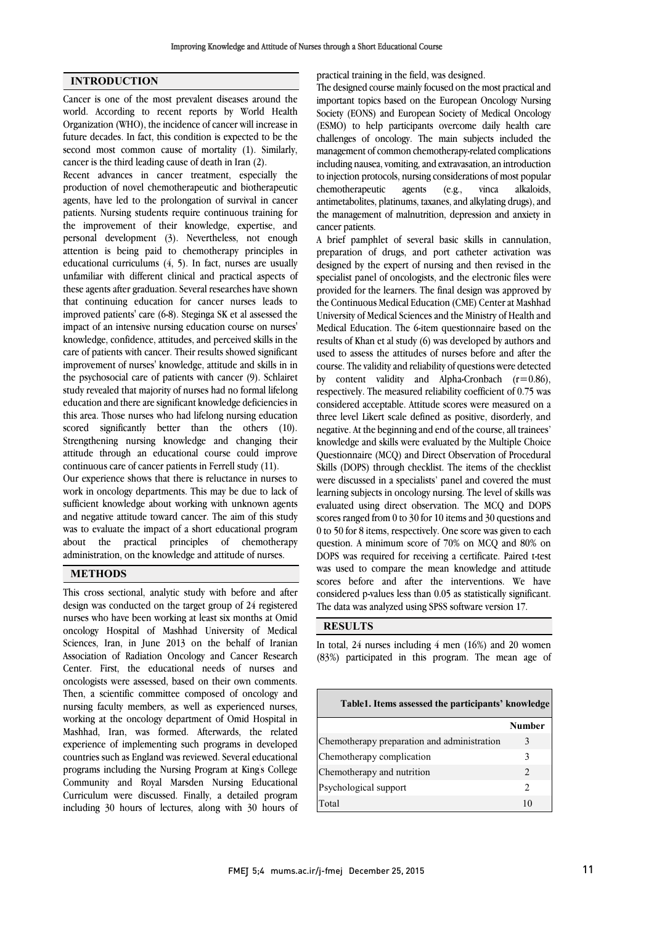## **INTRODUCTION**

Cancer is one of the most prevalent diseases around the world. According to recent reports by World Health Organization (WHO), the incidence of cancer will increase in future decades. In fact, this condition is expected to be the second most common cause of mortality (1). Similarly, cancer is the third leading cause of death in Iran (2).

Recent advances in cancer treatment, especially the production of novel chemotherapeutic and biotherapeutic agents, have led to the prolongation of survival in cancer patients. Nursing students require continuous training for the improvement of their knowledge, expertise, and personal development (3). Nevertheless, not enough attention is being paid to chemotherapy principles in educational curriculums (4, 5). In fact, nurses are usually unfamiliar with different clinical and practical aspects of these agents after graduation. Several researches have shown that continuing education for cancer nurses leads to improved patients' care (6-8). Steginga SK et al assessed the impact of an intensive nursing education course on nurses' knowledge, confidence, attitudes, and perceived skills in the care of patients with cancer. Their results showed significant improvement of nurses' knowledge, attitude and skills in in the psychosocial care of patients with cancer (9). Schlairet study revealed that majority of nurses had no formal lifelong education and there are significant knowledge deficiencies in this area. Those nurses who had lifelong nursing education scored significantly better than the others (10). Strengthening nursing knowledge and changing their attitude through an educational course could improve continuous care of cancer patients in Ferrell study (11).

Our experience shows that there is reluctance in nurses to work in oncology departments. This may be due to lack of sufficient knowledge about working with unknown agents and negative attitude toward cancer. The aim of this study was to evaluate the impact of a short educational program about the practical principles of chemotherapy administration, on the knowledge and attitude of nurses.

### **METHODS**

This cross sectional, analytic study with before and after design was conducted on the target group of 24 registered nurses who have been working at least six months at Omid oncology Hospital of Mashhad University of Medical Sciences, Iran, in June 2013 on the behalf of Iranian Association of Radiation Oncology and Cancer Research Center. First, the educational needs of nurses and oncologists were assessed, based on their own comments. Then, a scientific committee composed of oncology and nursing faculty members, as well as experienced nurses, working at the oncology department of Omid Hospital in Mashhad, Iran, was formed. Afterwards, the related experience of implementing such programs in developed countries such as England was reviewed. Several educational programs including the Nursing Program at King' s College Community and Royal Marsden Nursing Educational Curriculum were discussed. Finally, a detailed program including 30 hours of lectures, along with 30 hours of practical training in the field, was designed.

 The designed course mainly focused on the most practical and important topics based on the European Oncology Nursing Society (EONS) and European Society of Medical Oncology challenges of oncology. The main subjects included the management of common chemotherapy-related complications including nausea, vomiting, and extravasation, an introduction to injection protocols, nursing considerations of most popular antimetabolites, platinums, taxanes, and alkylating drugs), and the management of malnutrition, depression and anxiety in cancer patients. (ESMO) to help participants overcome daily health care chemotherapeutic agents (e.g., vinca alkaloids,

 A brief pamphlet of several basic skills in cannulation, designed by the expert of nursing and then revised in the specialist panel of oncologists, and the electronic files were provided for the learners. The final design was approved by the Continuous Medical Education (CME) Center at Mashhad Medical Education. The 6-item questionnaire based on the results of Khan et al study (6) was developed by authors and used to assess the attitudes of nurses before and after the course. The validity and reliability of questions were detected respectively. The measured reliability coefficient of  $0.75$  was considered acceptable. Attitude scores were measured on a three level Likert scale defined as positive, disorderly, and negative. At the beginning and end of the course, all trainees' Questionnaire (MCQ) and Direct Observation of Procedural Skills (DOPS) through checklist. The items of the checklist were discussed in a specialists' panel and covered the must learning subjects in oncology nursing. The level of skills was scores ranged from 0 to 30 for 10 items and 30 questions and 0 to 50 for 8 items, respectively. One score was given to each question. A minimum score of 70% on MCQ and 80% on DOPS was required for receiving a certificate. Paired t-test scores before and after the interventions. We have considered p-values less than 0.05 as statistically significant. The data was analyzed using SPSS software version 17. preparation of drugs, and port catheter activation was University of Medical Sciences and the Ministry of Health and by content validity and Alpha-Cronbach  $(r=0.86)$ , knowledge and skills were evaluated by the Multiple Choice evaluated using direct observation. The MCQ and DOPS was used to compare the mean knowledge and attitude

#### **RESULTS**

 In total, 24 nurses including 4 men (16%) and 20 women (83%) participated in this program. The mean age of

| Table1. Items assessed the participants' knowledge |                               |  |  |  |
|----------------------------------------------------|-------------------------------|--|--|--|
|                                                    | Number                        |  |  |  |
| Chemotherapy preparation and administration        | 3                             |  |  |  |
| Chemotherapy complication                          | 3                             |  |  |  |
| Chemotherapy and nutrition                         | $\mathfrak{D}_{\mathfrak{p}}$ |  |  |  |
| Psychological support                              | $\mathcal{D}$                 |  |  |  |
| Total                                              | 10                            |  |  |  |
|                                                    |                               |  |  |  |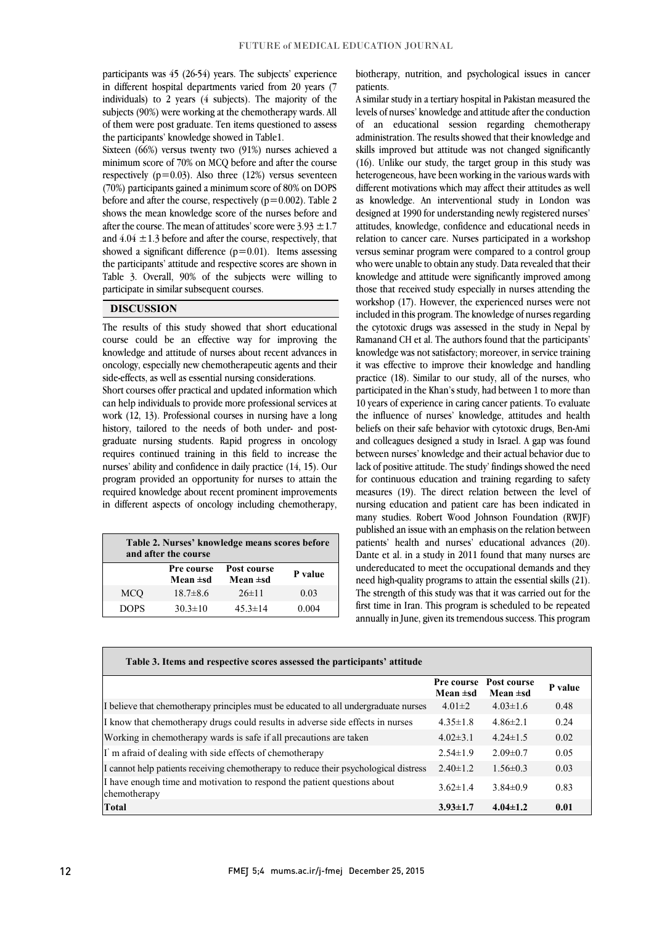participants was 45 (26-54) years. The subjects' experience in different hospital departments varied from 20 years (7 individuals) to 2 years (4 subjects). The majority of the subjects (90%) were working at the chemotherapy wards. All of them were post graduate. Ten items questioned to assess<br>the participants' knowledge showed in Table 1 the participants' knowledge showed in Table1.

 Sixteen (66%) versus twenty two (91%) nurses achieved a minimum score of 70% on MCQ before and after the course  $(70%)$  participants gained a minimum score of 80% on DOPS before and after the course, respectively ( $p=0.002$ ). Table 2 shows the mean knowledge score of the nurses before and after the course. The mean of attitudes' score were  $3.93 \pm 1.7$ and  $4.04 \pm 1.3$  before and after the course, respectively, that the participants' attitude and respective scores are shown in Table 3. Overall, 90% of the subjects were willing to respectively  $(p=0.03)$ . Also three (12%) versus seventeen showed a significant difference  $(p=0.01)$ . Items assessing participate in similar subsequent courses.

#### **DISCUSSION**

 The results of this study showed that short educational course could be an effective way for improving the knowledge and attitude of nurses about recent advances in oncology, especially new chemotherapeutic agents and their Short courses offer practical and updated information which side-effects, as well as essential nursing considerations.

 can help individuals to provide more professional services at work (12, 13). Professional courses in nursing have a long mstory, tanofed to the needs of both under- and post-<br>graduate nursing students. Rapid progress in oncology requires continued training in this field to increase the nurses' ability and confidence in daily practice (14, 15). Our program provided an opportunity for nurses to attain the required knowledge about recent prominent improvements in different aspects of oncology including chemotherapy, history, tailored to the needs of both under- and post-

| Table 2. Nurses' knowledge means scores before<br>and after the course |                        |                              |         |  |
|------------------------------------------------------------------------|------------------------|------------------------------|---------|--|
|                                                                        | Pre course<br>Mean ±sd | Post course<br>Mean $\pm$ sd | P value |  |
| <b>MCO</b>                                                             | $18.7 \pm 8.6$         | $26\pm11$                    | 0.03    |  |
| <b>DOPS</b>                                                            | $30.3 \pm 10$          | $45.3 \pm 14$                | 0.004   |  |

 biotherapy, nutrition, and psychological issues in cancer patients.

 A similar study in a tertiary hospital in Pakistan measured the levels of nurses' knowledge and attitude after the conduction administration. The results showed that their knowledge and skills improved but attitude was not changed significantly (16). Unlike our study, the target group in this study was different motivations which may affect their attitudes as well as knowledge. An interventional study in London was designed at 1990 for understanding newly registered nurses' attitudes, knowledge, confidence and educational needs in relation to cancer care. Nurses participated in a workshop who were unable to obtain any study. Data revealed that their knowledge and attitude were significantly improved among those that received study especially in nurses attending the workshop (17). However, the experienced nurses were not the cytotoxic drugs was assessed in the study in Nepal by Ramanand CH et al. The authors found that the participants' knowledge was not satisfactory; moreover, in service training it was effective to improve their knowledge and handling participated in the Khan's study, had between 1 to more than 10 years of experience in caring cancer patients. To evaluate the influence of nurses' knowledge, attitudes and health and colleagues designed a study in Israel. A gap was found between nurses' knowledge and their actual behavior due to lack of positive attitude. The study' findings showed the need for continuous education and training regarding to safety measures (19). The direct relation between the level of many studies. Robert Wood Johnson Foundation (RWJF) published an issue with an emphasis on the relation between patients' health and nurses' educational advances (20). undereducated to meet the occupational demands and they need high-quality programs to attain the essential skills (21). The strength of this study was that it was carried out for the first time in Iran. This program is scheduled to be repeated annually in June, given its tremendous success. This program of an educational session regarding chemotherapy heterogeneous, have been working in the various wards with versus seminar program were compared to a control group included in this program. The knowledge of nurses regarding practice (18). Similar to our study, all of the nurses, who beliefs on their safe behavior with cytotoxic drugs, Ben-Ami nursing education and patient care has been indicated in Dante et al. in a study in 2011 found that many nurses are

| Table 3. Items and respective scores assessed the participants' attitude                 |                                    |                              |         |  |  |
|------------------------------------------------------------------------------------------|------------------------------------|------------------------------|---------|--|--|
|                                                                                          | <b>Pre course</b><br>Mean $\pm$ sd | Post course<br>Mean $\pm$ sd | P value |  |  |
| I believe that chemotherapy principles must be educated to all undergraduate nurses      | $4.01 \pm 2$                       | $4.03 \pm 1.6$               | 0.48    |  |  |
| I know that chemotherapy drugs could results in adverse side effects in nurses           | $4.35 \pm 1.8$                     | $4.86 \pm 2.1$               | 0.24    |  |  |
| Working in chemotherapy wards is safe if all precautions are taken                       | $4.02 \pm 3.1$                     | $4.24 \pm 1.5$               | 0.02    |  |  |
| I'm afraid of dealing with side effects of chemotherapy                                  | $2.54 \pm 1.9$                     | $2.09 \pm 0.7$               | 0.05    |  |  |
| I cannot help patients receiving chemotherapy to reduce their psychological distress     | $2.40 \pm 1.2$                     | $1.56 \pm 0.3$               | 0.03    |  |  |
| I have enough time and motivation to respond the patient questions about<br>chemotherapy | $3.62 \pm 1.4$                     | $3.84\pm0.9$                 | 0.83    |  |  |
| Total                                                                                    | $3.93 \pm 1.7$                     | $4.04 \pm 1.2$               | 0.01    |  |  |